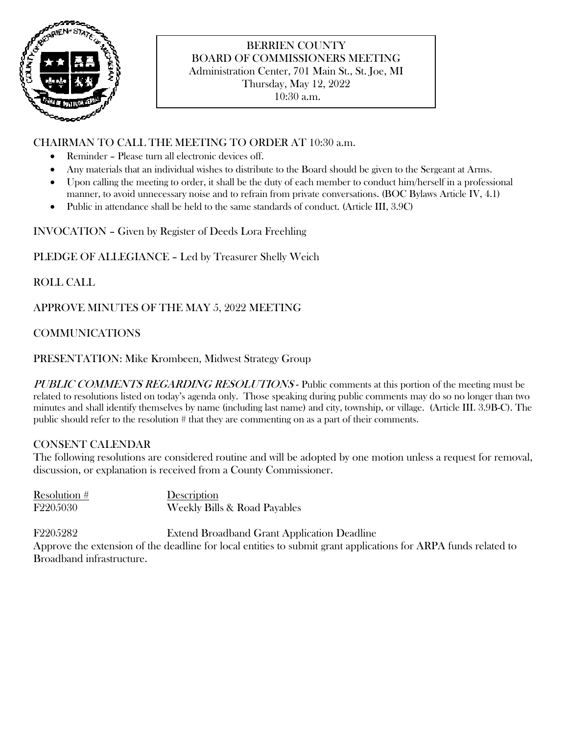

# BERRIEN COUNTY BOARD OF COMMISSIONERS MEETING Administration Center, 701 Main St., St. Joe, MI Thursday, May 12, 2022

10:30 a.m.

# CHAIRMAN TO CALL THE MEETING TO ORDER AT 10:30 a.m.

- Reminder Please turn all electronic devices off.
- Any materials that an individual wishes to distribute to the Board should be given to the Sergeant at Arms.
- Upon calling the meeting to order, it shall be the duty of each member to conduct him/herself in a professional manner, to avoid unnecessary noise and to refrain from private conversations. (BOC Bylaws Article IV, 4.1)
- Public in attendance shall be held to the same standards of conduct. (Article III, 3.9C)

INVOCATION – Given by Register of Deeds Lora Freehling

PLEDGE OF ALLEGIANCE – Led by Treasurer Shelly Weich

ROLL CALL

APPROVE MINUTES OF THE MAY 5, 2022 MEETING

COMMUNICATIONS

PRESENTATION: Mike Krombeen, Midwest Strategy Group

PUBLIC COMMENTS REGARDING RESOLUTIONS - Public comments at this portion of the meeting must be related to resolutions listed on today's agenda only. Those speaking during public comments may do so no longer than two minutes and shall identify themselves by name (including last name) and city, township, or village. (Article III. 3.9B-C). The public should refer to the resolution # that they are commenting on as a part of their comments.

# CONSENT CALENDAR

The following resolutions are considered routine and will be adopted by one motion unless a request for removal, discussion, or explanation is received from a County Commissioner.

| Resolution # | Description                  |
|--------------|------------------------------|
| F2205030     | Weekly Bills & Road Payables |

F2205282 Extend Broadband Grant Application Deadline Approve the extension of the deadline for local entities to submit grant applications for ARPA funds related to Broadband infrastructure.